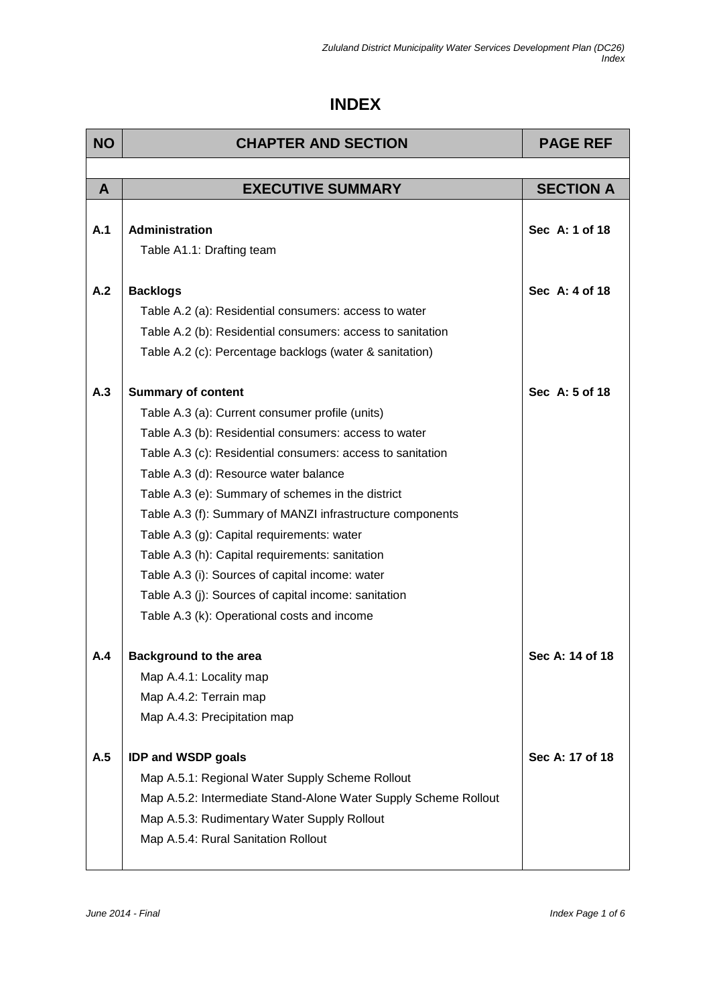## **INDEX**

| <b>NO</b> | <b>CHAPTER AND SECTION</b>                                      | <b>PAGE REF</b>  |
|-----------|-----------------------------------------------------------------|------------------|
|           |                                                                 |                  |
| A         | <b>EXECUTIVE SUMMARY</b>                                        | <b>SECTION A</b> |
|           |                                                                 |                  |
| A.1       | Administration                                                  | Sec A: 1 of 18   |
|           | Table A1.1: Drafting team                                       |                  |
| A.2       | <b>Backlogs</b>                                                 | Sec A: 4 of 18   |
|           | Table A.2 (a): Residential consumers: access to water           |                  |
|           | Table A.2 (b): Residential consumers: access to sanitation      |                  |
|           | Table A.2 (c): Percentage backlogs (water & sanitation)         |                  |
|           |                                                                 |                  |
| A.3       | <b>Summary of content</b>                                       | Sec A: 5 of 18   |
|           | Table A.3 (a): Current consumer profile (units)                 |                  |
|           | Table A.3 (b): Residential consumers: access to water           |                  |
|           | Table A.3 (c): Residential consumers: access to sanitation      |                  |
|           | Table A.3 (d): Resource water balance                           |                  |
|           | Table A.3 (e): Summary of schemes in the district               |                  |
|           | Table A.3 (f): Summary of MANZI infrastructure components       |                  |
|           | Table A.3 (g): Capital requirements: water                      |                  |
|           | Table A.3 (h): Capital requirements: sanitation                 |                  |
|           | Table A.3 (i): Sources of capital income: water                 |                  |
|           | Table A.3 (j): Sources of capital income: sanitation            |                  |
|           | Table A.3 (k): Operational costs and income                     |                  |
| A.4       | <b>Background to the area</b>                                   | Sec A: 14 of 18  |
|           | Map A.4.1: Locality map                                         |                  |
|           | Map A.4.2: Terrain map                                          |                  |
|           | Map A.4.3: Precipitation map                                    |                  |
| A.5       | <b>IDP and WSDP goals</b>                                       | Sec A: 17 of 18  |
|           | Map A.5.1: Regional Water Supply Scheme Rollout                 |                  |
|           | Map A.5.2: Intermediate Stand-Alone Water Supply Scheme Rollout |                  |
|           | Map A.5.3: Rudimentary Water Supply Rollout                     |                  |
|           | Map A.5.4: Rural Sanitation Rollout                             |                  |
|           |                                                                 |                  |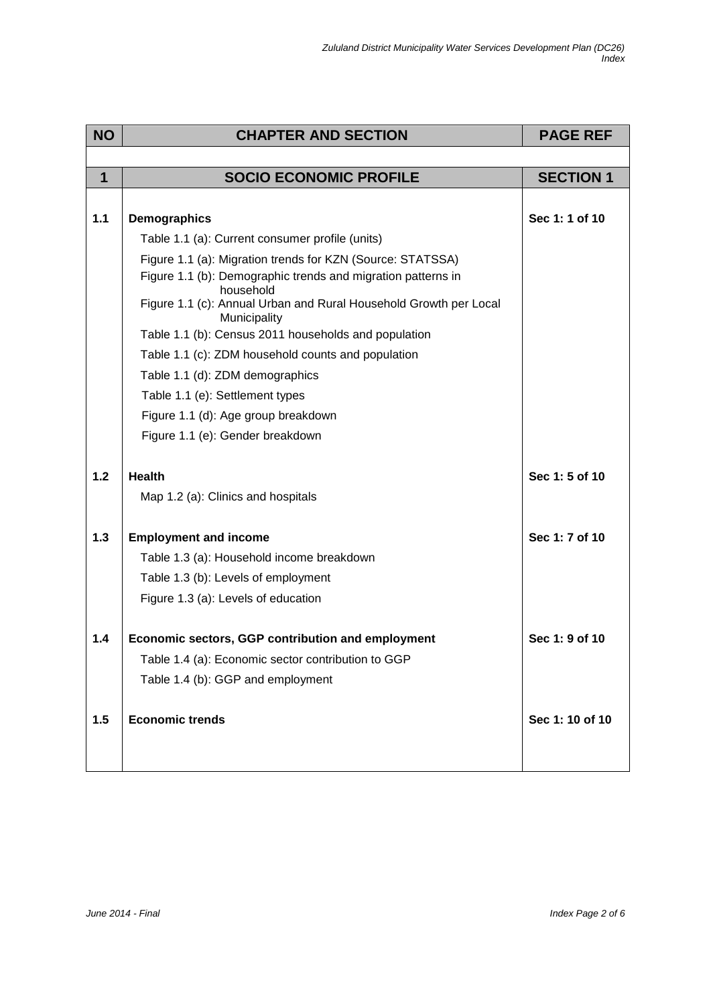| <b>NO</b>   | <b>CHAPTER AND SECTION</b>                                                        | <b>PAGE REF</b>  |
|-------------|-----------------------------------------------------------------------------------|------------------|
|             |                                                                                   |                  |
| $\mathbf 1$ | <b>SOCIO ECONOMIC PROFILE</b>                                                     | <b>SECTION 1</b> |
|             |                                                                                   |                  |
| $1.1$       | <b>Demographics</b>                                                               | Sec 1: 1 of 10   |
|             | Table 1.1 (a): Current consumer profile (units)                                   |                  |
|             | Figure 1.1 (a): Migration trends for KZN (Source: STATSSA)                        |                  |
|             | Figure 1.1 (b): Demographic trends and migration patterns in<br>household         |                  |
|             | Figure 1.1 (c): Annual Urban and Rural Household Growth per Local<br>Municipality |                  |
|             | Table 1.1 (b): Census 2011 households and population                              |                  |
|             | Table 1.1 (c): ZDM household counts and population                                |                  |
|             | Table 1.1 (d): ZDM demographics                                                   |                  |
|             | Table 1.1 (e): Settlement types                                                   |                  |
|             | Figure 1.1 (d): Age group breakdown                                               |                  |
|             | Figure 1.1 (e): Gender breakdown                                                  |                  |
|             |                                                                                   |                  |
| 1.2         | <b>Health</b>                                                                     | Sec 1: 5 of 10   |
|             | Map 1.2 (a): Clinics and hospitals                                                |                  |
| 1.3         | <b>Employment and income</b>                                                      | Sec 1: 7 of 10   |
|             | Table 1.3 (a): Household income breakdown                                         |                  |
|             | Table 1.3 (b): Levels of employment                                               |                  |
|             | Figure 1.3 (a): Levels of education                                               |                  |
| 1.4         | Economic sectors, GGP contribution and employment                                 | Sec 1: 9 of 10   |
|             | Table 1.4 (a): Economic sector contribution to GGP                                |                  |
|             | Table 1.4 (b): GGP and employment                                                 |                  |
|             |                                                                                   |                  |
| 1.5         | <b>Economic trends</b>                                                            | Sec 1: 10 of 10  |
|             |                                                                                   |                  |
|             |                                                                                   |                  |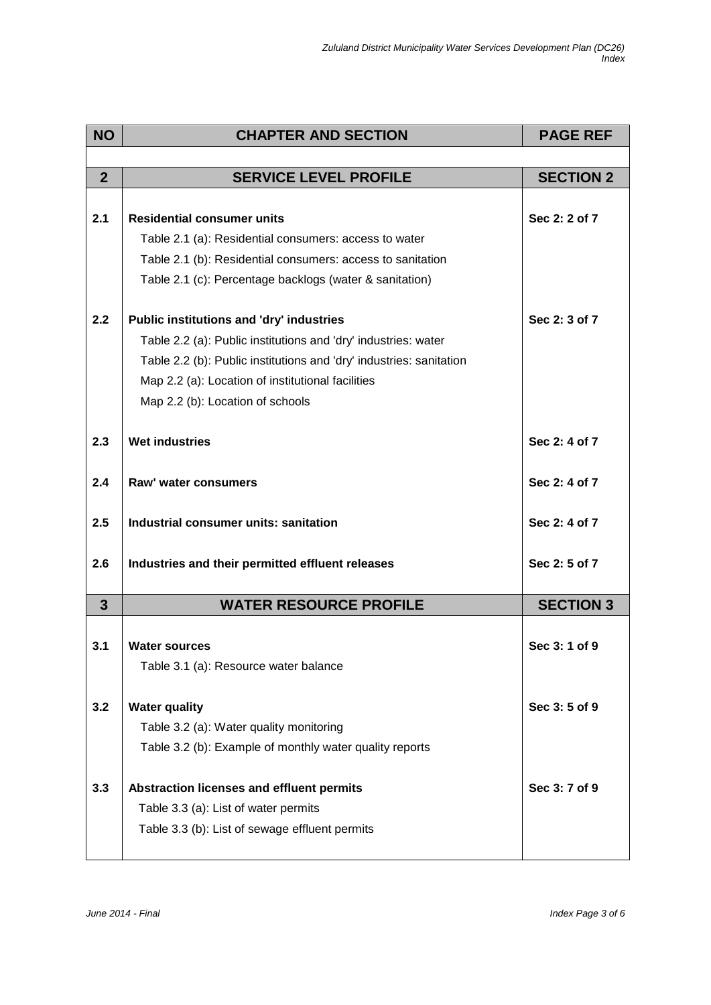| <b>NO</b>      | <b>CHAPTER AND SECTION</b>                                          | <b>PAGE REF</b>  |
|----------------|---------------------------------------------------------------------|------------------|
|                |                                                                     |                  |
| $\overline{2}$ | <b>SERVICE LEVEL PROFILE</b>                                        | <b>SECTION 2</b> |
|                |                                                                     |                  |
| 2.1            | <b>Residential consumer units</b>                                   | Sec 2: 2 of 7    |
|                | Table 2.1 (a): Residential consumers: access to water               |                  |
|                | Table 2.1 (b): Residential consumers: access to sanitation          |                  |
|                | Table 2.1 (c): Percentage backlogs (water & sanitation)             |                  |
| 2.2            | <b>Public institutions and 'dry' industries</b>                     | Sec 2: 3 of 7    |
|                | Table 2.2 (a): Public institutions and 'dry' industries: water      |                  |
|                | Table 2.2 (b): Public institutions and 'dry' industries: sanitation |                  |
|                | Map 2.2 (a): Location of institutional facilities                   |                  |
|                | Map 2.2 (b): Location of schools                                    |                  |
|                |                                                                     |                  |
| 2.3            | <b>Wet industries</b>                                               | Sec 2: 4 of 7    |
| 2.4            | Raw' water consumers                                                | Sec 2: 4 of 7    |
| 2.5            | Industrial consumer units: sanitation                               | Sec 2: 4 of 7    |
| 2.6            | Industries and their permitted effluent releases                    | Sec 2: 5 of 7    |
| $\mathbf{3}$   | <b>WATER RESOURCE PROFILE</b>                                       | <b>SECTION 3</b> |
|                |                                                                     |                  |
| 3.1            | <b>Water sources</b>                                                | Sec 3: 1 of 9    |
|                | Table 3.1 (a): Resource water balance                               |                  |
| 3.2            | <b>Water quality</b>                                                | Sec 3:5 of 9     |
|                | Table 3.2 (a): Water quality monitoring                             |                  |
|                | Table 3.2 (b): Example of monthly water quality reports             |                  |
|                |                                                                     |                  |
| 3.3            | Abstraction licenses and effluent permits                           | Sec 3: 7 of 9    |
|                | Table 3.3 (a): List of water permits                                |                  |
|                | Table 3.3 (b): List of sewage effluent permits                      |                  |
|                |                                                                     |                  |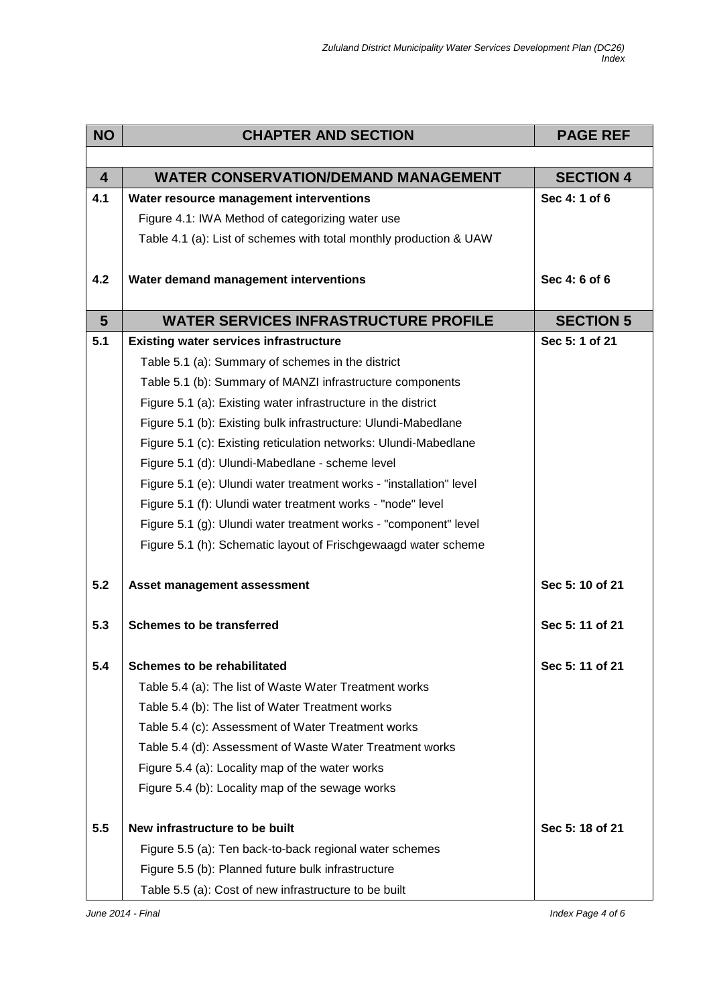| <b>NO</b>       | <b>CHAPTER AND SECTION</b>                                          | <b>PAGE REF</b>  |
|-----------------|---------------------------------------------------------------------|------------------|
|                 |                                                                     |                  |
| $\overline{4}$  | <b>WATER CONSERVATION/DEMAND MANAGEMENT</b>                         | <b>SECTION 4</b> |
| 4.1             | Water resource management interventions                             | Sec 4: 1 of 6    |
|                 | Figure 4.1: IWA Method of categorizing water use                    |                  |
|                 | Table 4.1 (a): List of schemes with total monthly production & UAW  |                  |
| 4.2             | Water demand management interventions                               | Sec 4: 6 of 6    |
|                 |                                                                     |                  |
| $5\phantom{.0}$ | <b>WATER SERVICES INFRASTRUCTURE PROFILE</b>                        | <b>SECTION 5</b> |
| 5.1             | <b>Existing water services infrastructure</b>                       | Sec 5: 1 of 21   |
|                 | Table 5.1 (a): Summary of schemes in the district                   |                  |
|                 | Table 5.1 (b): Summary of MANZI infrastructure components           |                  |
|                 | Figure 5.1 (a): Existing water infrastructure in the district       |                  |
|                 | Figure 5.1 (b): Existing bulk infrastructure: Ulundi-Mabedlane      |                  |
|                 | Figure 5.1 (c): Existing reticulation networks: Ulundi-Mabedlane    |                  |
|                 | Figure 5.1 (d): Ulundi-Mabedlane - scheme level                     |                  |
|                 | Figure 5.1 (e): Ulundi water treatment works - "installation" level |                  |
|                 | Figure 5.1 (f): Ulundi water treatment works - "node" level         |                  |
|                 | Figure 5.1 (g): Ulundi water treatment works - "component" level    |                  |
|                 | Figure 5.1 (h): Schematic layout of Frischgewaagd water scheme      |                  |
| 5.2             | Asset management assessment                                         | Sec 5: 10 of 21  |
| 5.3             | <b>Schemes to be transferred</b>                                    | Sec 5: 11 of 21  |
| 5.4             | <b>Schemes to be rehabilitated</b>                                  | Sec 5: 11 of 21  |
|                 | Table 5.4 (a): The list of Waste Water Treatment works              |                  |
|                 | Table 5.4 (b): The list of Water Treatment works                    |                  |
|                 | Table 5.4 (c): Assessment of Water Treatment works                  |                  |
|                 | Table 5.4 (d): Assessment of Waste Water Treatment works            |                  |
|                 | Figure 5.4 (a): Locality map of the water works                     |                  |
|                 | Figure 5.4 (b): Locality map of the sewage works                    |                  |
| 5.5             | New infrastructure to be built                                      | Sec 5: 18 of 21  |
|                 | Figure 5.5 (a): Ten back-to-back regional water schemes             |                  |
|                 | Figure 5.5 (b): Planned future bulk infrastructure                  |                  |
|                 | Table 5.5 (a): Cost of new infrastructure to be built               |                  |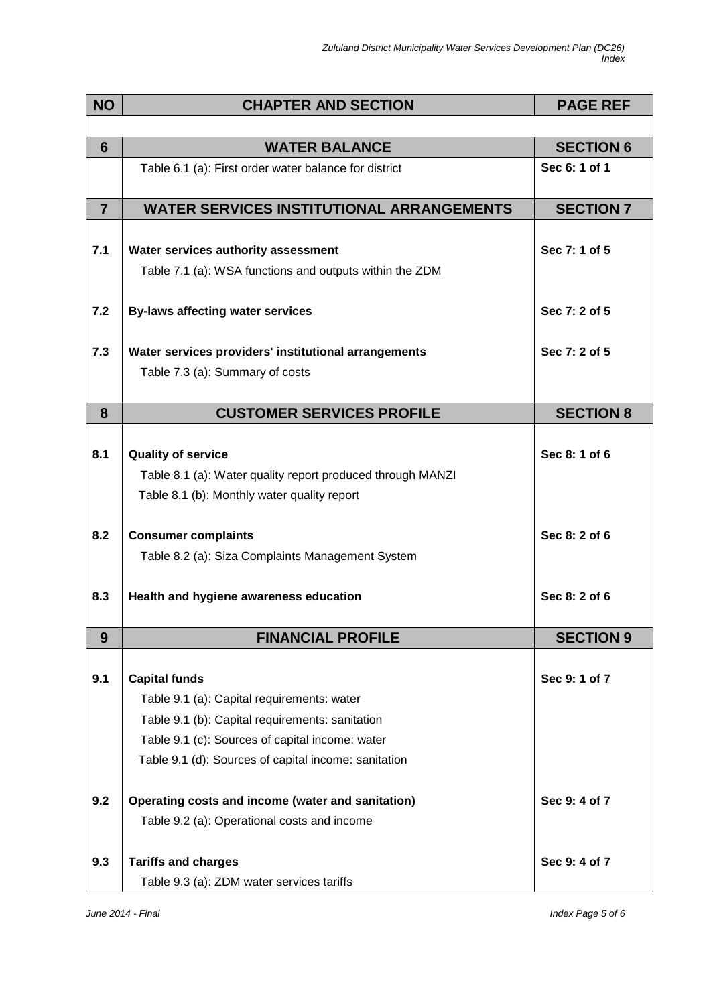| <b>NO</b>      | <b>CHAPTER AND SECTION</b>                                                                                                                                                                                                       | <b>PAGE REF</b>  |
|----------------|----------------------------------------------------------------------------------------------------------------------------------------------------------------------------------------------------------------------------------|------------------|
|                |                                                                                                                                                                                                                                  |                  |
| 6              | <b>WATER BALANCE</b>                                                                                                                                                                                                             | <b>SECTION 6</b> |
|                | Table 6.1 (a): First order water balance for district                                                                                                                                                                            | Sec 6: 1 of 1    |
| $\overline{7}$ | <b>WATER SERVICES INSTITUTIONAL ARRANGEMENTS</b>                                                                                                                                                                                 | <b>SECTION 7</b> |
| 7.1            | Water services authority assessment<br>Table 7.1 (a): WSA functions and outputs within the ZDM                                                                                                                                   | Sec 7: 1 of 5    |
| 7.2            | <b>By-laws affecting water services</b>                                                                                                                                                                                          | Sec 7: 2 of 5    |
| 7.3            | Water services providers' institutional arrangements                                                                                                                                                                             | Sec 7: 2 of 5    |
|                | Table 7.3 (a): Summary of costs                                                                                                                                                                                                  |                  |
| 8              | <b>CUSTOMER SERVICES PROFILE</b>                                                                                                                                                                                                 | <b>SECTION 8</b> |
| 8.1            | <b>Quality of service</b><br>Table 8.1 (a): Water quality report produced through MANZI<br>Table 8.1 (b): Monthly water quality report                                                                                           | Sec 8: 1 of 6    |
| 8.2            | <b>Consumer complaints</b><br>Table 8.2 (a): Siza Complaints Management System                                                                                                                                                   | Sec 8: 2 of 6    |
| 8.3            | Health and hygiene awareness education                                                                                                                                                                                           | Sec 8: 2 of 6    |
| 9              | <b>FINANCIAL PROFILE</b>                                                                                                                                                                                                         | <b>SECTION 9</b> |
| 9.1            | <b>Capital funds</b><br>Table 9.1 (a): Capital requirements: water<br>Table 9.1 (b): Capital requirements: sanitation<br>Table 9.1 (c): Sources of capital income: water<br>Table 9.1 (d): Sources of capital income: sanitation | Sec 9: 1 of 7    |
| 9.2            | Operating costs and income (water and sanitation)<br>Table 9.2 (a): Operational costs and income                                                                                                                                 | Sec 9: 4 of 7    |
| 9.3            | <b>Tariffs and charges</b><br>Table 9.3 (a): ZDM water services tariffs                                                                                                                                                          | Sec 9: 4 of 7    |